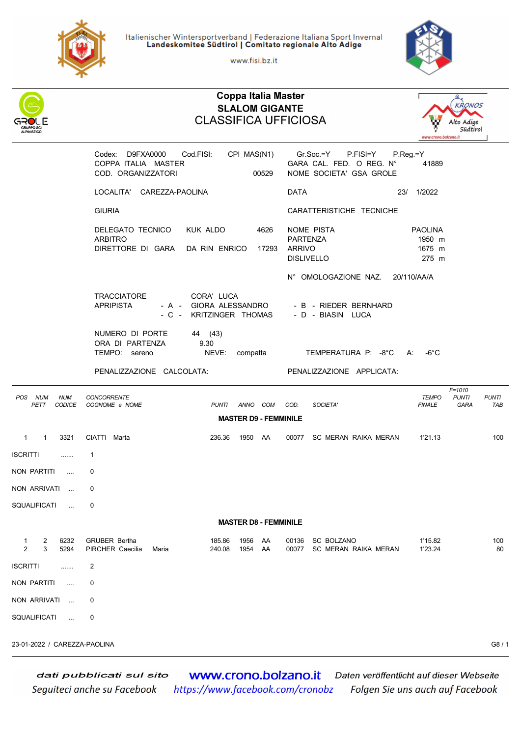

Italienischer Wintersportverband | Federazione Italiana Sport Invernal<br>Landeskomitee Südtirol | Comitato regionale Alto Adige

www.fisi.bz.it



| ALPINISTICO                                    | <b>Coppa Italia Master</b><br><b>SLALOM GIGANTE</b><br><b>CLASSIFICA UFFICIOSA</b>                        |                                                                                          | <b>KRONOS</b><br>Alto Adige<br>Südtirol<br>www.crono.bolzano.it                                   |
|------------------------------------------------|-----------------------------------------------------------------------------------------------------------|------------------------------------------------------------------------------------------|---------------------------------------------------------------------------------------------------|
|                                                | Cod.FISI:<br>CPI_MAS(N1)<br>Codex: D9FXA0000<br>COPPA ITALIA MASTER<br>COD. ORGANIZZATORI<br>00529        | Gr.Soc.=Y<br>P.FISI=Y<br>P.Reg.=Y<br>GARA CAL. FED. O REG. N°<br>NOME SOCIETA' GSA GROLE | 41889                                                                                             |
|                                                | LOCALITA' CAREZZA-PAOLINA                                                                                 | <b>DATA</b>                                                                              | 23/ 1/2022                                                                                        |
|                                                | <b>GIURIA</b>                                                                                             | CARATTERISTICHE TECNICHE                                                                 |                                                                                                   |
|                                                | DELEGATO TECNICO<br>KUK ALDO<br>4626<br><b>ARBITRO</b><br>DIRETTORE DI GARA<br>DA RIN ENRICO<br>17293     | NOME PISTA<br><b>PARTENZA</b><br><b>ARRIVO</b><br><b>DISLIVELLO</b>                      | <b>PAOLINA</b><br>1950 m<br>1675 m<br>275 m                                                       |
|                                                | <b>TRACCIATORE</b><br>CORA' LUCA<br><b>APRIPISTA</b><br>- A - GIORA ALESSANDRO<br>- C - KRITZINGER THOMAS | N° OMOLOGAZIONE NAZ.<br>- B - RIEDER BERNHARD<br>- D - BIASIN LUCA                       | 20/110/AA/A                                                                                       |
|                                                | 44 (43)<br>NUMERO DI PORTE<br>ORA DI PARTENZA<br>9.30<br>TEMPO: sereno<br>NEVE:<br>compatta               | TEMPERATURA P: -8°C<br>А:                                                                | $-6^{\circ}$ C                                                                                    |
|                                                | PENALIZZAZIONE CALCOLATA:                                                                                 | PENALIZZAZIONE APPLICATA:                                                                |                                                                                                   |
| POS NUM<br><b>NUM</b><br>PETT<br><b>CODICE</b> | <b>CONCORRENTE</b><br>COGNOME e NOME<br><b>PUNTI</b><br>ANNO COM                                          | COD.<br>SOCIETA'                                                                         | $F = 1010$<br><b>PUNTI</b><br><b>TEMPO</b><br><b>PUNTI</b><br><b>FINALE</b><br><b>GARA</b><br>TAB |
|                                                | <b>MASTER D9 - FEMMINILE</b>                                                                              |                                                                                          |                                                                                                   |
| 3321<br>$\overline{1}$<br>$\mathbf{1}$         | CIATTI Marta<br>236.36<br>1950 AA                                                                         | 00077<br>SC MERAN RAIKA MERAN                                                            | 1'21.13<br>100                                                                                    |
| <b>ISCRITTI</b><br>.                           | 1                                                                                                         |                                                                                          |                                                                                                   |
| NON PARTITI<br>$\cdots$                        | 0                                                                                                         |                                                                                          |                                                                                                   |
| NON ARRIVATI                                   | 0                                                                                                         |                                                                                          |                                                                                                   |
| SQUALIFICATI<br>i.                             | 0                                                                                                         |                                                                                          |                                                                                                   |
|                                                | <b>MASTER D8 - FEMMINILE</b>                                                                              |                                                                                          |                                                                                                   |
| 6232<br>2<br>1<br>$\overline{2}$<br>3<br>5294  | <b>GRUBER Bertha</b><br>185.86<br>1956<br>AA<br>PIRCHER Caecilia<br>240.08<br>1954<br>AA<br>Maria         | SC BOLZANO<br>00136<br><b>SC MERAN RAIKA MERAN</b><br>00077                              | 100<br>1'15.82<br>1'23.24<br>80                                                                   |
| <b>ISCRITTI</b><br>.                           | 2                                                                                                         |                                                                                          |                                                                                                   |
| <b>NON PARTITI</b><br>$\cdots$                 | 0                                                                                                         |                                                                                          |                                                                                                   |
| NON ARRIVATI<br>$\sim$                         | 0                                                                                                         |                                                                                          |                                                                                                   |
| SQUALIFICATI<br>$\cdots$                       | 0                                                                                                         |                                                                                          |                                                                                                   |

23-01-2022 / CAREZZA-PAOLINA G8 / 1

www.crono.bolzano.it dati pubblicati sul sito Daten veröffentlicht auf dieser Webseite Seguiteci anche su Facebook https://www.facebook.com/cronobz Folgen Sie uns auch auf Facebook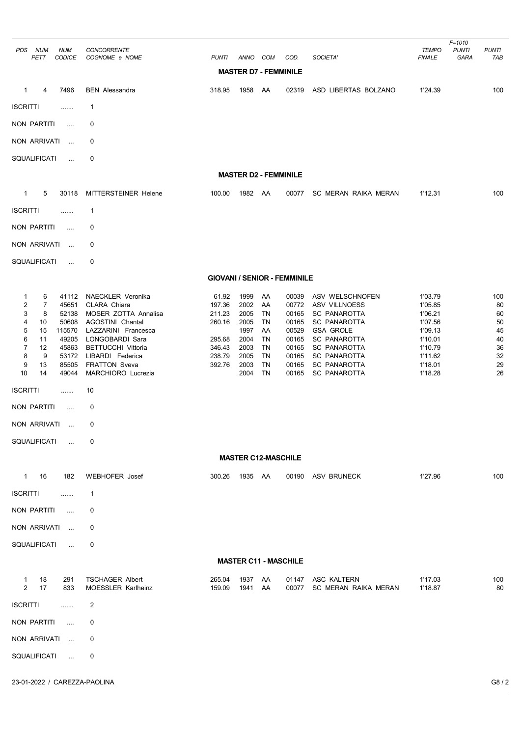| <b>NUM</b><br>POS<br><b>NUM</b><br>PETT<br><b>CODICE</b>                                                                                                                                                                     | CONCORRENTE<br>COGNOME e NOME                                                                                                                                                                                          | <b>PUNTI</b>                                                                | ANNO                                                                         | COM                                                                    | COD.                                                                                   | SOCIETA'                                                                                                                                                                                                              | <b>TEMPO</b><br><b>FINALE</b>                                                                              | $F = 1010$<br><b>PUNTI</b><br>GARA | <b>PUNTI</b><br>TAB                                       |
|------------------------------------------------------------------------------------------------------------------------------------------------------------------------------------------------------------------------------|------------------------------------------------------------------------------------------------------------------------------------------------------------------------------------------------------------------------|-----------------------------------------------------------------------------|------------------------------------------------------------------------------|------------------------------------------------------------------------|----------------------------------------------------------------------------------------|-----------------------------------------------------------------------------------------------------------------------------------------------------------------------------------------------------------------------|------------------------------------------------------------------------------------------------------------|------------------------------------|-----------------------------------------------------------|
|                                                                                                                                                                                                                              |                                                                                                                                                                                                                        |                                                                             | <b>MASTER D7 - FEMMINILE</b>                                                 |                                                                        |                                                                                        |                                                                                                                                                                                                                       |                                                                                                            |                                    |                                                           |
| 7496<br>$\overline{4}$<br>$\mathbf{1}$                                                                                                                                                                                       | <b>BEN</b> Alessandra                                                                                                                                                                                                  | 318.95                                                                      | 1958                                                                         | AA                                                                     | 02319                                                                                  | ASD LIBERTAS BOLZANO                                                                                                                                                                                                  | 1'24.39                                                                                                    |                                    | 100                                                       |
| <b>ISCRITTI</b><br>.                                                                                                                                                                                                         | 1                                                                                                                                                                                                                      |                                                                             |                                                                              |                                                                        |                                                                                        |                                                                                                                                                                                                                       |                                                                                                            |                                    |                                                           |
| NON PARTITI<br>$\cdots$                                                                                                                                                                                                      | 0                                                                                                                                                                                                                      |                                                                             |                                                                              |                                                                        |                                                                                        |                                                                                                                                                                                                                       |                                                                                                            |                                    |                                                           |
| NON ARRIVATI<br>$\sim$                                                                                                                                                                                                       | 0                                                                                                                                                                                                                      |                                                                             |                                                                              |                                                                        |                                                                                        |                                                                                                                                                                                                                       |                                                                                                            |                                    |                                                           |
| SQUALIFICATI<br>$\cdots$                                                                                                                                                                                                     | 0                                                                                                                                                                                                                      |                                                                             |                                                                              |                                                                        |                                                                                        |                                                                                                                                                                                                                       |                                                                                                            |                                    |                                                           |
|                                                                                                                                                                                                                              |                                                                                                                                                                                                                        |                                                                             | <b>MASTER D2 - FEMMINILE</b>                                                 |                                                                        |                                                                                        |                                                                                                                                                                                                                       |                                                                                                            |                                    |                                                           |
| 5<br>$\mathbf{1}$<br>30118                                                                                                                                                                                                   | MITTERSTEINER Helene                                                                                                                                                                                                   | 100.00                                                                      | 1982 AA                                                                      |                                                                        | 00077                                                                                  | SC MERAN RAIKA MERAN                                                                                                                                                                                                  | 1'12.31                                                                                                    |                                    | 100                                                       |
| <b>ISCRITTI</b><br>                                                                                                                                                                                                          | 1                                                                                                                                                                                                                      |                                                                             |                                                                              |                                                                        |                                                                                        |                                                                                                                                                                                                                       |                                                                                                            |                                    |                                                           |
| <b>NON PARTITI</b><br>$\cdots$                                                                                                                                                                                               | 0                                                                                                                                                                                                                      |                                                                             |                                                                              |                                                                        |                                                                                        |                                                                                                                                                                                                                       |                                                                                                            |                                    |                                                           |
| NON ARRIVATI<br>$\ddots$                                                                                                                                                                                                     | 0                                                                                                                                                                                                                      |                                                                             |                                                                              |                                                                        |                                                                                        |                                                                                                                                                                                                                       |                                                                                                            |                                    |                                                           |
| SQUALIFICATI<br>$\cdots$                                                                                                                                                                                                     | 0                                                                                                                                                                                                                      |                                                                             |                                                                              |                                                                        |                                                                                        |                                                                                                                                                                                                                       |                                                                                                            |                                    |                                                           |
|                                                                                                                                                                                                                              |                                                                                                                                                                                                                        |                                                                             |                                                                              |                                                                        | <b>GIOVANI / SENIOR - FEMMINILE</b>                                                    |                                                                                                                                                                                                                       |                                                                                                            |                                    |                                                           |
| 1<br>6<br>41112<br>2<br>$\overline{7}$<br>45651<br>3<br>8<br>52138<br>4<br>10<br>50608<br>5<br>115570<br>15<br>6<br>11<br>49205<br>$\overline{7}$<br>45863<br>12<br>8<br>9<br>53172<br>9<br>85505<br>13<br>10<br>14<br>49044 | NAECKLER Veronika<br>CLARA Chiara<br>MOSER ZOTTA Annalisa<br>AGOSTINI Chantal<br>LAZZARINI Francesca<br>LONGOBARDI Sara<br><b>BETTUCCHI Vittoria</b><br>LIBARDI Federica<br><b>FRATTON Sveva</b><br>MARCHIORO Lucrezia | 61.92<br>197.36<br>211.23<br>260.16<br>295.68<br>346.43<br>238.79<br>392.76 | 1999<br>2002<br>2005<br>2005<br>1997<br>2004<br>2003<br>2005<br>2003<br>2004 | AA<br>AA<br>TN<br>TN<br>AA<br>TN<br><b>TN</b><br>TN<br><b>TN</b><br>TN | 00039<br>00772<br>00165<br>00165<br>00529<br>00165<br>00165<br>00165<br>00165<br>00165 | ASV WELSCHNOFEN<br>ASV VILLNOESS<br><b>SC PANAROTTA</b><br><b>SC PANAROTTA</b><br><b>GSA GROLE</b><br><b>SC PANAROTTA</b><br><b>SC PANAROTTA</b><br><b>SC PANAROTTA</b><br><b>SC PANAROTTA</b><br><b>SC PANAROTTA</b> | 1'03.79<br>1'05.85<br>1'06.21<br>1'07.56<br>1'09.13<br>1'10.01<br>1'10.79<br>1'11.62<br>1'18.01<br>1'18.28 |                                    | 100<br>80<br>60<br>50<br>45<br>40<br>36<br>32<br>29<br>26 |
| <b>ISCRITTI</b><br>.                                                                                                                                                                                                         | 10                                                                                                                                                                                                                     |                                                                             |                                                                              |                                                                        |                                                                                        |                                                                                                                                                                                                                       |                                                                                                            |                                    |                                                           |
| NON PARTITI<br>$\cdots$                                                                                                                                                                                                      | 0                                                                                                                                                                                                                      |                                                                             |                                                                              |                                                                        |                                                                                        |                                                                                                                                                                                                                       |                                                                                                            |                                    |                                                           |
| NON ARRIVATI<br>$\ldots$                                                                                                                                                                                                     | 0                                                                                                                                                                                                                      |                                                                             |                                                                              |                                                                        |                                                                                        |                                                                                                                                                                                                                       |                                                                                                            |                                    |                                                           |
| <b>SQUALIFICATI</b><br>$\ddotsc$                                                                                                                                                                                             | 0                                                                                                                                                                                                                      |                                                                             |                                                                              |                                                                        |                                                                                        |                                                                                                                                                                                                                       |                                                                                                            |                                    |                                                           |
|                                                                                                                                                                                                                              |                                                                                                                                                                                                                        |                                                                             | <b>MASTER C12-MASCHILE</b>                                                   |                                                                        |                                                                                        |                                                                                                                                                                                                                       |                                                                                                            |                                    |                                                           |
| $\mathbf{1}$<br>16<br>182                                                                                                                                                                                                    | <b>WEBHOFER Josef</b>                                                                                                                                                                                                  | 300.26                                                                      | 1935                                                                         | AA                                                                     | 00190                                                                                  | ASV BRUNECK                                                                                                                                                                                                           | 1'27.96                                                                                                    |                                    | 100                                                       |
| <b>ISCRITTI</b><br>.                                                                                                                                                                                                         | 1                                                                                                                                                                                                                      |                                                                             |                                                                              |                                                                        |                                                                                        |                                                                                                                                                                                                                       |                                                                                                            |                                    |                                                           |
| NON PARTITI<br>$\cdots$                                                                                                                                                                                                      | 0                                                                                                                                                                                                                      |                                                                             |                                                                              |                                                                        |                                                                                        |                                                                                                                                                                                                                       |                                                                                                            |                                    |                                                           |
| NON ARRIVATI<br>$\sim$                                                                                                                                                                                                       | 0                                                                                                                                                                                                                      |                                                                             |                                                                              |                                                                        |                                                                                        |                                                                                                                                                                                                                       |                                                                                                            |                                    |                                                           |
| SQUALIFICATI<br>$\sim 10$                                                                                                                                                                                                    | 0                                                                                                                                                                                                                      |                                                                             |                                                                              |                                                                        |                                                                                        |                                                                                                                                                                                                                       |                                                                                                            |                                    |                                                           |
|                                                                                                                                                                                                                              |                                                                                                                                                                                                                        |                                                                             |                                                                              |                                                                        | <b>MASTER C11 - MASCHILE</b>                                                           |                                                                                                                                                                                                                       |                                                                                                            |                                    |                                                           |
| 18<br>291<br>$\mathbf{1}$<br>2<br>17<br>833                                                                                                                                                                                  | <b>TSCHAGER Albert</b><br><b>MOESSLER Karlheinz</b>                                                                                                                                                                    | 265.04<br>159.09                                                            | 1937<br>1941                                                                 | AA<br>AA                                                               | 01147<br>00077                                                                         | ASC KALTERN<br>SC MERAN RAIKA MERAN                                                                                                                                                                                   | 1'17.03<br>1'18.87                                                                                         |                                    | 100<br>80                                                 |
| <b>ISCRITTI</b><br>.                                                                                                                                                                                                         | 2                                                                                                                                                                                                                      |                                                                             |                                                                              |                                                                        |                                                                                        |                                                                                                                                                                                                                       |                                                                                                            |                                    |                                                           |
| NON PARTITI<br>$\ldots$                                                                                                                                                                                                      | 0                                                                                                                                                                                                                      |                                                                             |                                                                              |                                                                        |                                                                                        |                                                                                                                                                                                                                       |                                                                                                            |                                    |                                                           |
| NON ARRIVATI<br>$\sim$                                                                                                                                                                                                       | 0                                                                                                                                                                                                                      |                                                                             |                                                                              |                                                                        |                                                                                        |                                                                                                                                                                                                                       |                                                                                                            |                                    |                                                           |
| SQUALIFICATI<br>$\ddots$                                                                                                                                                                                                     | 0                                                                                                                                                                                                                      |                                                                             |                                                                              |                                                                        |                                                                                        |                                                                                                                                                                                                                       |                                                                                                            |                                    |                                                           |
| 23-01-2022 / CAREZZA-PAOLINA                                                                                                                                                                                                 |                                                                                                                                                                                                                        |                                                                             |                                                                              |                                                                        |                                                                                        |                                                                                                                                                                                                                       |                                                                                                            |                                    | G8/2                                                      |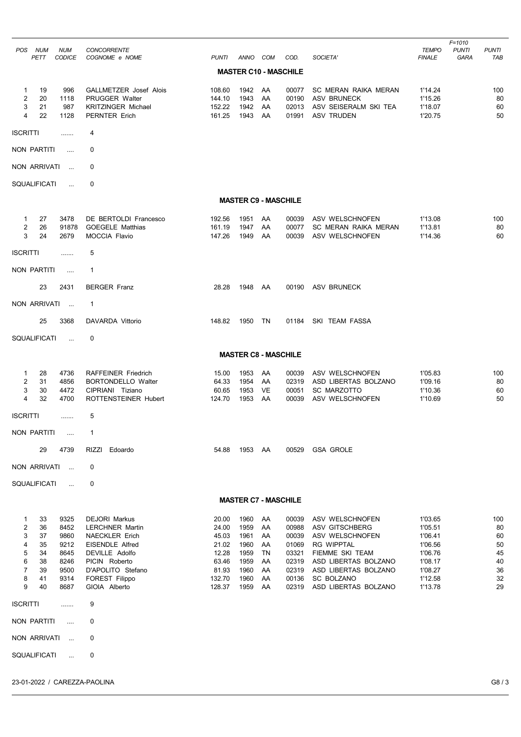| POS.<br>NUM<br>PETT                                                                             | <b>NUM</b><br><b>CODICE</b>                                          | <b>CONCORRENTE</b><br>COGNOME e NOME                                                                                                                                                         | <b>PUNTI</b>                                                                    | ANNO COM                                                             |                                                    | COD.                                                                          | SOCIETA'                                                                                                                                                                                  | <b>TEMPO</b><br><b>FINALE</b>                                                                   | $F = 1010$<br><b>PUNTI</b><br><b>GARA</b> | <b>PUNTI</b><br>TAB                                 |
|-------------------------------------------------------------------------------------------------|----------------------------------------------------------------------|----------------------------------------------------------------------------------------------------------------------------------------------------------------------------------------------|---------------------------------------------------------------------------------|----------------------------------------------------------------------|----------------------------------------------------|-------------------------------------------------------------------------------|-------------------------------------------------------------------------------------------------------------------------------------------------------------------------------------------|-------------------------------------------------------------------------------------------------|-------------------------------------------|-----------------------------------------------------|
|                                                                                                 |                                                                      |                                                                                                                                                                                              |                                                                                 |                                                                      |                                                    | <b>MASTER C10 - MASCHILE</b>                                                  |                                                                                                                                                                                           |                                                                                                 |                                           |                                                     |
| 19<br>$\mathbf{1}$<br>2<br>20<br>3<br>21<br>4<br>22                                             | 996<br>1118<br>987<br>1128                                           | GALLMETZER Josef Alois<br><b>PRUGGER Walter</b><br><b>KRITZINGER Michael</b><br>PERNTER Erich                                                                                                | 108.60<br>144.10<br>152.22<br>161.25                                            | 1942<br>1943<br>1942<br>1943                                         | AA<br>AA<br>AA<br>AA                               | 00077<br>00190<br>02013<br>01991                                              | <b>SC MERAN RAIKA MERAN</b><br><b>ASV BRUNECK</b><br>ASV SEISERALM SKI TEA<br><b>ASV TRUDEN</b>                                                                                           | 1'14.24<br>1'15.26<br>1'18.07<br>1'20.75                                                        |                                           | 100<br>80<br>60<br>50                               |
| <b>ISCRITTI</b>                                                                                 |                                                                      | 4                                                                                                                                                                                            |                                                                                 |                                                                      |                                                    |                                                                               |                                                                                                                                                                                           |                                                                                                 |                                           |                                                     |
| NON PARTITI                                                                                     | $\cdots$                                                             | 0                                                                                                                                                                                            |                                                                                 |                                                                      |                                                    |                                                                               |                                                                                                                                                                                           |                                                                                                 |                                           |                                                     |
| NON ARRIVATI                                                                                    | $\ddotsc$                                                            | 0                                                                                                                                                                                            |                                                                                 |                                                                      |                                                    |                                                                               |                                                                                                                                                                                           |                                                                                                 |                                           |                                                     |
| SQUALIFICATI                                                                                    | $\ddotsc$                                                            | 0                                                                                                                                                                                            |                                                                                 |                                                                      |                                                    |                                                                               |                                                                                                                                                                                           |                                                                                                 |                                           |                                                     |
|                                                                                                 |                                                                      |                                                                                                                                                                                              |                                                                                 | <b>MASTER C9 - MASCHILE</b>                                          |                                                    |                                                                               |                                                                                                                                                                                           |                                                                                                 |                                           |                                                     |
| 27<br>$\mathbf{1}$<br>$\overline{2}$<br>26<br>3<br>24                                           | 3478<br>91878<br>2679                                                | <b>DE BERTOLDI Francesco</b><br><b>GOEGELE Matthias</b><br><b>MOCCIA Flavio</b>                                                                                                              | 192.56<br>161.19<br>147.26                                                      | 1951<br>1947<br>1949                                                 | AA<br>AA<br>AA                                     | 00039<br>00077<br>00039                                                       | ASV WELSCHNOFEN<br>SC MERAN RAIKA MERAN<br>ASV WELSCHNOFEN                                                                                                                                | 1'13.08<br>1'13.81<br>1'14.36                                                                   |                                           | 100<br>80<br>60                                     |
| <b>ISCRITTI</b>                                                                                 | .                                                                    | 5                                                                                                                                                                                            |                                                                                 |                                                                      |                                                    |                                                                               |                                                                                                                                                                                           |                                                                                                 |                                           |                                                     |
| NON PARTITI                                                                                     | $\ldots$                                                             | $\mathbf{1}$                                                                                                                                                                                 |                                                                                 |                                                                      |                                                    |                                                                               |                                                                                                                                                                                           |                                                                                                 |                                           |                                                     |
| 23                                                                                              | 2431                                                                 | <b>BERGER Franz</b>                                                                                                                                                                          | 28.28                                                                           | 1948                                                                 | AA                                                 | 00190                                                                         | ASV BRUNECK                                                                                                                                                                               |                                                                                                 |                                           |                                                     |
| NON ARRIVATI                                                                                    |                                                                      | $\mathbf{1}$                                                                                                                                                                                 |                                                                                 |                                                                      |                                                    |                                                                               |                                                                                                                                                                                           |                                                                                                 |                                           |                                                     |
| 25                                                                                              | 3368                                                                 | DAVARDA Vittorio                                                                                                                                                                             | 148.82                                                                          | 1950                                                                 | TN                                                 | 01184                                                                         | SKI TEAM FASSA                                                                                                                                                                            |                                                                                                 |                                           |                                                     |
| SQUALIFICATI                                                                                    | $\sim$                                                               | 0                                                                                                                                                                                            |                                                                                 |                                                                      |                                                    |                                                                               |                                                                                                                                                                                           |                                                                                                 |                                           |                                                     |
|                                                                                                 |                                                                      |                                                                                                                                                                                              |                                                                                 | <b>MASTER C8 - MASCHILE</b>                                          |                                                    |                                                                               |                                                                                                                                                                                           |                                                                                                 |                                           |                                                     |
| 28<br>1<br>$\overline{2}$<br>31<br>3<br>30<br>4<br>32                                           | 4736<br>4856<br>4472<br>4700                                         | <b>RAFFEINER Friedrich</b><br><b>BORTONDELLO Walter</b><br>CIPRIANI Tiziano<br>ROTTENSTEINER Hubert                                                                                          | 15.00<br>64.33<br>60.65<br>124.70                                               | 1953<br>1954<br>1953<br>1953                                         | AA<br>AA<br>VE<br>AA                               | 00039<br>02319<br>00051<br>00039                                              | ASV WELSCHNOFEN<br>ASD LIBERTAS BOLZANO<br><b>SC MARZOTTO</b><br>ASV WELSCHNOFEN                                                                                                          | 1'05.83<br>1'09.16<br>1'10.36<br>1'10.69                                                        |                                           | 100<br>80<br>60<br>50                               |
| <b>ISCRITTI</b>                                                                                 |                                                                      | 5                                                                                                                                                                                            |                                                                                 |                                                                      |                                                    |                                                                               |                                                                                                                                                                                           |                                                                                                 |                                           |                                                     |
| NON PARTITI                                                                                     | $\cdots$                                                             | $\mathbf{1}$                                                                                                                                                                                 |                                                                                 |                                                                      |                                                    |                                                                               |                                                                                                                                                                                           |                                                                                                 |                                           |                                                     |
| 29                                                                                              | 4739                                                                 | RIZZI<br>Edoardo                                                                                                                                                                             | 54.88                                                                           | 1953                                                                 | AA                                                 | 00529                                                                         | <b>GSA GROLE</b>                                                                                                                                                                          |                                                                                                 |                                           |                                                     |
| NON ARRIVATI                                                                                    | $\ddotsc$                                                            | 0                                                                                                                                                                                            |                                                                                 |                                                                      |                                                    |                                                                               |                                                                                                                                                                                           |                                                                                                 |                                           |                                                     |
| SQUALIFICATI                                                                                    | $\cdots$                                                             | 0                                                                                                                                                                                            |                                                                                 |                                                                      |                                                    |                                                                               |                                                                                                                                                                                           |                                                                                                 |                                           |                                                     |
|                                                                                                 |                                                                      |                                                                                                                                                                                              |                                                                                 | <b>MASTER C7 - MASCHILE</b>                                          |                                                    |                                                                               |                                                                                                                                                                                           |                                                                                                 |                                           |                                                     |
| 1<br>33<br>2<br>36<br>3<br>37<br>4<br>35<br>5<br>34<br>6<br>38<br>7<br>39<br>8<br>41<br>9<br>40 | 9325<br>8452<br>9860<br>9212<br>8645<br>8246<br>9500<br>9314<br>8687 | <b>DEJORI Markus</b><br><b>LERCHNER Martin</b><br><b>NAECKLER Erich</b><br><b>EISENDLE Alfred</b><br>DEVILLE Adolfo<br>PICIN Roberto<br>D'APOLITO Stefano<br>FOREST Filippo<br>GIOIA Alberto | 20.00<br>24.00<br>45.03<br>21.02<br>12.28<br>63.46<br>81.93<br>132.70<br>128.37 | 1960<br>1959<br>1961<br>1960<br>1959<br>1959<br>1960<br>1960<br>1959 | AA<br>AA<br>AA<br>AA<br>TN<br>AA<br>AA<br>AA<br>AA | 00039<br>00988<br>00039<br>01069<br>03321<br>02319<br>02319<br>00136<br>02319 | ASV WELSCHNOFEN<br>ASV GITSCHBERG<br>ASV WELSCHNOFEN<br><b>RG WIPPTAL</b><br>FIEMME SKI TEAM<br>ASD LIBERTAS BOLZANO<br>ASD LIBERTAS BOLZANO<br><b>SC BOLZANO</b><br>ASD LIBERTAS BOLZANO | 1'03.65<br>1'05.51<br>1'06.41<br>1'06.56<br>1'06.76<br>1'08.17<br>1'08.27<br>1'12.58<br>1'13.78 |                                           | 100<br>80<br>60<br>50<br>45<br>40<br>36<br>32<br>29 |
| <b>ISCRITTI</b>                                                                                 | .                                                                    | 9                                                                                                                                                                                            |                                                                                 |                                                                      |                                                    |                                                                               |                                                                                                                                                                                           |                                                                                                 |                                           |                                                     |
| NON PARTITI                                                                                     | $\cdots$                                                             | 0                                                                                                                                                                                            |                                                                                 |                                                                      |                                                    |                                                                               |                                                                                                                                                                                           |                                                                                                 |                                           |                                                     |
| NON ARRIVATI                                                                                    | $\bar{1}$ .                                                          | 0                                                                                                                                                                                            |                                                                                 |                                                                      |                                                    |                                                                               |                                                                                                                                                                                           |                                                                                                 |                                           |                                                     |
| SQUALIFICATI                                                                                    | $\ldots$                                                             | 0                                                                                                                                                                                            |                                                                                 |                                                                      |                                                    |                                                                               |                                                                                                                                                                                           |                                                                                                 |                                           |                                                     |
| 23-01-2022 / CAREZZA-PAOLINA                                                                    |                                                                      |                                                                                                                                                                                              |                                                                                 |                                                                      |                                                    |                                                                               |                                                                                                                                                                                           |                                                                                                 |                                           | G8/3                                                |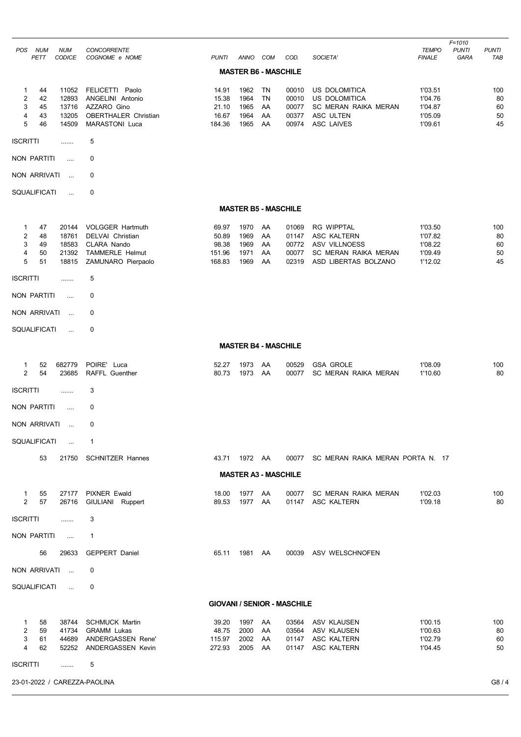|                                                                                                  |                                                                                                            |                                             |                                      |                                   |                                           |                                                                                                          |                                                     | F=1010                                             |
|--------------------------------------------------------------------------------------------------|------------------------------------------------------------------------------------------------------------|---------------------------------------------|--------------------------------------|-----------------------------------|-------------------------------------------|----------------------------------------------------------------------------------------------------------|-----------------------------------------------------|----------------------------------------------------|
| <b>NUM</b><br>POS<br><b>NUM</b><br>PETT<br><b>CODICE</b>                                         | <b>CONCORRENTE</b><br>COGNOME e NOME                                                                       | <b>PUNTI</b>                                | ANNO COM                             |                                   | COD.                                      | SOCIETA'                                                                                                 | <b>TEMPO</b><br><b>FINALE</b>                       | <b>PUNTI</b><br><b>PUNTI</b><br><b>GARA</b><br>TAB |
|                                                                                                  |                                                                                                            |                                             | <b>MASTER B6 - MASCHILE</b>          |                                   |                                           |                                                                                                          |                                                     |                                                    |
| 11052<br>1<br>44<br>2<br>12893<br>42<br>3<br>13716<br>45<br>13205<br>4<br>43<br>5<br>14509<br>46 | FELICETTI Paolo<br>ANGELINI Antonio<br>AZZARO Gino<br><b>OBERTHALER Christian</b><br><b>MARASTONI Luca</b> | 14.91<br>15.38<br>21.10<br>16.67<br>184.36  | 1962<br>1964<br>1965<br>1964<br>1965 | TN<br><b>TN</b><br>AA<br>AA<br>AA | 00010<br>00010<br>00077<br>00377<br>00974 | <b>US DOLOMITICA</b><br>US DOLOMITICA<br>SC MERAN RAIKA MERAN<br>ASC ULTEN<br><b>ASC LAIVES</b>          | 1'03.51<br>1'04.76<br>1'04.87<br>1'05.09<br>1'09.61 | 100<br>80<br>60<br>50<br>45                        |
| <b>ISCRITTI</b><br>.                                                                             | 5                                                                                                          |                                             |                                      |                                   |                                           |                                                                                                          |                                                     |                                                    |
| <b>NON PARTITI</b><br>$\cdots$                                                                   | 0                                                                                                          |                                             |                                      |                                   |                                           |                                                                                                          |                                                     |                                                    |
| <b>NON ARRIVATI</b><br>$\ddotsc$                                                                 | 0                                                                                                          |                                             |                                      |                                   |                                           |                                                                                                          |                                                     |                                                    |
| SQUALIFICATI<br>$\ddotsc$                                                                        | 0                                                                                                          |                                             |                                      |                                   |                                           |                                                                                                          |                                                     |                                                    |
|                                                                                                  |                                                                                                            |                                             | <b>MASTER B5 - MASCHILE</b>          |                                   |                                           |                                                                                                          |                                                     |                                                    |
| 1<br>47<br>20144<br>2<br>48<br>18761<br>3<br>18583<br>49<br>21392<br>4<br>50<br>5<br>51<br>18815 | <b>VOLGGER Hartmuth</b><br>DELVAI Christian<br>CLARA Nando<br><b>TAMMERLE Helmut</b><br>ZAMUNARO Pierpaolo | 69.97<br>50.89<br>98.38<br>151.96<br>168.83 | 1970<br>1969<br>1969<br>1971<br>1969 | AA<br>AA<br>AA<br>AA<br>AA        | 01069<br>01147<br>00772<br>00077<br>02319 | <b>RG WIPPTAL</b><br>ASC KALTERN<br><b>ASV VILLNOESS</b><br>SC MERAN RAIKA MERAN<br>ASD LIBERTAS BOLZANO | 1'03.50<br>1'07.82<br>1'08.22<br>1'09.49<br>1'12.02 | 100<br>80<br>60<br>50<br>45                        |
| <b>ISCRITTI</b><br>.                                                                             | 5                                                                                                          |                                             |                                      |                                   |                                           |                                                                                                          |                                                     |                                                    |
| <b>NON PARTITI</b><br>$\cdots$                                                                   | 0                                                                                                          |                                             |                                      |                                   |                                           |                                                                                                          |                                                     |                                                    |
| NON ARRIVATI<br>$\mathbf{r}_{\mathrm{max}}$                                                      | 0                                                                                                          |                                             |                                      |                                   |                                           |                                                                                                          |                                                     |                                                    |
| SQUALIFICATI<br>$\ddotsc$                                                                        | 0                                                                                                          |                                             |                                      |                                   |                                           |                                                                                                          |                                                     |                                                    |
|                                                                                                  |                                                                                                            |                                             | <b>MASTER B4 - MASCHILE</b>          |                                   |                                           |                                                                                                          |                                                     |                                                    |
| 682779<br>52<br>$\mathbf{1}$<br>2<br>23685<br>54                                                 | POIRE' Luca<br>RAFFL Guenther                                                                              | 52.27<br>80.73                              | 1973<br>1973                         | AA<br>AA                          | 00529<br>00077                            | <b>GSA GROLE</b><br><b>SC MERAN RAIKA MERAN</b>                                                          | 1'08.09<br>1'10.60                                  | 100<br>80                                          |
| <b>ISCRITTI</b><br>                                                                              | 3                                                                                                          |                                             |                                      |                                   |                                           |                                                                                                          |                                                     |                                                    |
| <b>NON PARTITI</b><br>.                                                                          | 0                                                                                                          |                                             |                                      |                                   |                                           |                                                                                                          |                                                     |                                                    |
| NON ARRIVATI<br>$\sim 10^{-1}$                                                                   | 0                                                                                                          |                                             |                                      |                                   |                                           |                                                                                                          |                                                     |                                                    |
| SQUALIFICATI<br>$\sim$                                                                           | $\mathbf{1}$                                                                                               |                                             |                                      |                                   |                                           |                                                                                                          |                                                     |                                                    |
| 53                                                                                               | 21750 SCHNITZER Hannes                                                                                     |                                             | 43.71 1972 AA                        |                                   |                                           | 00077 SC MERAN RAIKA MERAN PORTA N. 17                                                                   |                                                     |                                                    |
|                                                                                                  |                                                                                                            |                                             | <b>MASTER A3 - MASCHILE</b>          |                                   |                                           |                                                                                                          |                                                     |                                                    |
| 55<br>27177<br>$\mathbf{1}$<br>$\overline{2}$<br>57<br>26716                                     | <b>PIXNER Ewald</b><br>GIULIANI Ruppert                                                                    | 18.00<br>89.53                              | 1977 AA<br>1977 AA                   |                                   | 00077                                     | SC MERAN RAIKA MERAN<br>01147 ASC KALTERN                                                                | 1'02.03<br>1'09.18                                  | 100<br>80                                          |
| <b>ISCRITTI</b><br>.                                                                             | 3                                                                                                          |                                             |                                      |                                   |                                           |                                                                                                          |                                                     |                                                    |
| NON PARTITI<br>$\sim$                                                                            | $\mathbf{1}$                                                                                               |                                             |                                      |                                   |                                           |                                                                                                          |                                                     |                                                    |
| 56<br>29633                                                                                      | <b>GEPPERT Daniel</b>                                                                                      | 65.11                                       | 1981 AA                              |                                   |                                           | 00039 ASV WELSCHNOFEN                                                                                    |                                                     |                                                    |
| NON ARRIVATI                                                                                     | 0                                                                                                          |                                             |                                      |                                   |                                           |                                                                                                          |                                                     |                                                    |
| SQUALIFICATI<br>$\sim 100$                                                                       | 0                                                                                                          |                                             |                                      |                                   |                                           |                                                                                                          |                                                     |                                                    |
|                                                                                                  |                                                                                                            |                                             |                                      |                                   | <b>GIOVANI / SENIOR - MASCHILE</b>        |                                                                                                          |                                                     |                                                    |
| 1<br>58<br>2<br>59<br>41734<br>44689<br>3<br>61<br>4<br>62<br>52252                              | 38744 SCHMUCK Martin<br><b>GRAMM Lukas</b><br>ANDERGASSEN Rene'<br>ANDERGASSEN Kevin                       | 39.20<br>48.75<br>115.97<br>272.93          | 1997<br>2000<br>2002<br>2005         | AA<br>AA<br>AA<br>AA              | 03564                                     | 03564 ASV KLAUSEN<br>ASV KLAUSEN<br>01147 ASC KALTERN<br>01147 ASC KALTERN                               | 1'00.15<br>1'00.63<br>1'02.79<br>1'04.45            | 100<br>80<br>60<br>50                              |
| <b>ISCRITTI</b><br>.                                                                             | 5                                                                                                          |                                             |                                      |                                   |                                           |                                                                                                          |                                                     |                                                    |